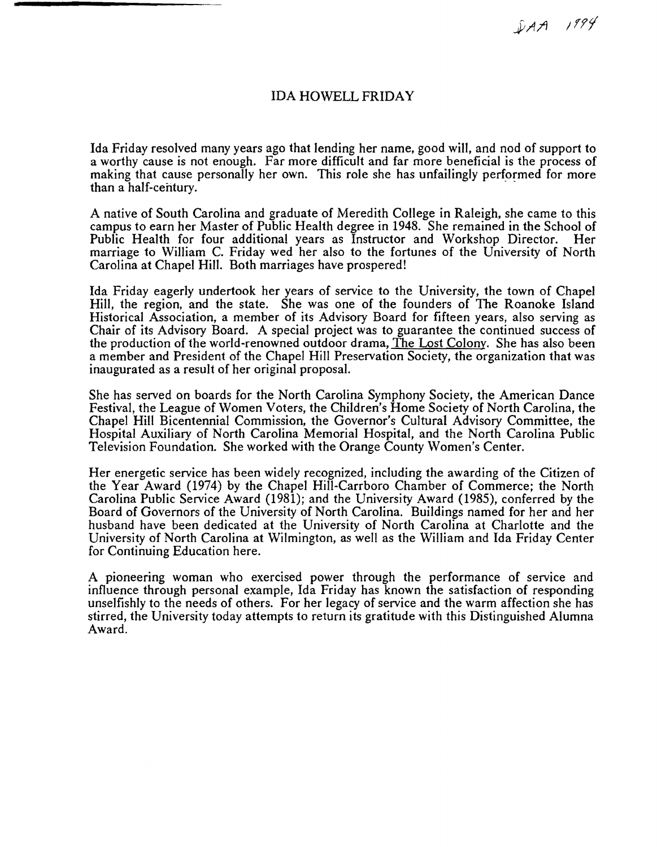$DAA$  1994

## IDA HOWELL FRIDAY

Ida Friday resolved many years ago that lending her name, good will, and nod of support to a worthy cause is not enough. Far more difficult and far more beneficial is the process of making that cause personally her own. This role she has unfailingly performed for more than a half-century.

A native of South Carolina and graduate of Meredith College in Raleigh, she came to this campus to earn her Master of Public Health degree in 1948. She remained in the School of Public Health for four additional years as Instructor and Workshop Director. Her marriage to William C. Friday wed her also to the fortunes of the University of North Carolina at Chapel Hill. Both marriages have prospered!

Ida Friday eagerly undertook her years of service to the University, the town of Chapel Hill, the region, and the state. She was one of the founders of The Roanoke Island Historical Association, a member of its Advisory Board for fifteen years, also serving as Chair of its Advisory Board. A special project was to guarantee the continued success of the production of the world-renowned outdoor drama, The Lost Colony. She has also been a member and President of the Chapel Hill Preservation Society, the organization that was inaugurated as a result of her original proposal.

She has served on boards for the North Carolina Symphony Society, the American Dance Festival, the League of Women Voters, the Children's Home Society of North Carolina, the Chapel Hill Bicentennial Commission, the Governor's Cultural Advisory Committee, the Hospital Auxiliary of North Carolina Memorial Hospital, and the North Carolina Public Television Foundation. She worked with the Orange County Women's Center.

Her energetic service has been widely recognized, including the awarding of the Citizen of the Year Award (1974) by the Chapel Hill-Carrboro Chamber of Commerce; the North Carolina Public Service Award (1981); and the University Award (1985), conferred by the Board of Governors of the University of North Carolina. Buildings named for her and her husband have been dedicated at the University of North Carolina at Charlotte and the University of North Carolina at Wilmington, as well as the William and Ida Friday Center for Continuing Education here.

A pioneering woman who exercised power through the performance of service and influence through personal example, Ida Friday has known the satisfaction of responding unselfishly to the needs of others. For her legacy of service and the warm affection she has stirred, the University today attempts to return its gratitude with this Distinguished Alumna Award.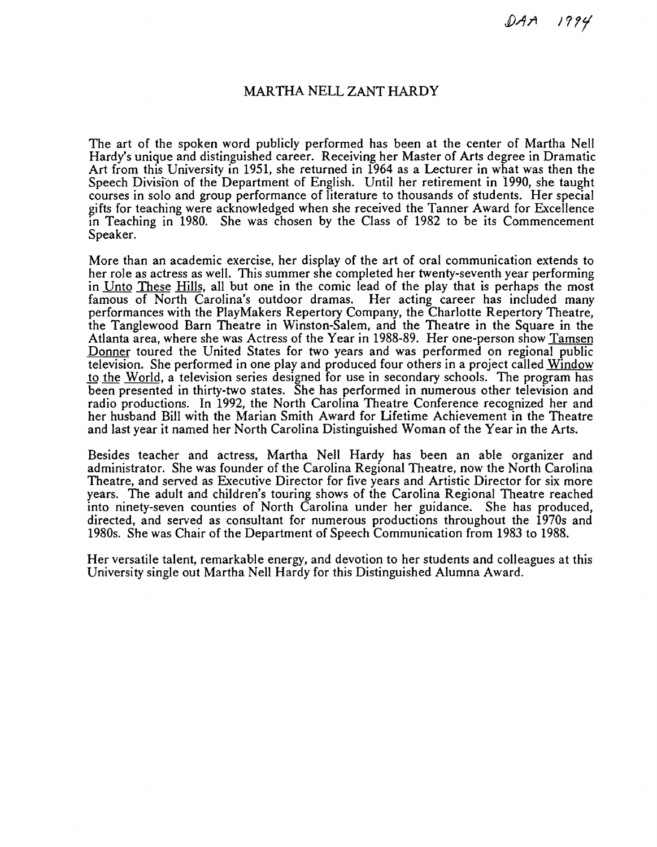$DAA$  1994

## MARTHA NELL ZANT HARDY

The art of the spoken word publicly performed has been at the center of Martha Nell Hardy's unique and distinguished career. Receiving her Master of Arts degree in Dramatic Art from this University in 1951, she returned in 1964 as a Lecturer in what was then the Speech Division of the Department of English. Until her retirement in 1990, she taught courses in solo and group performance of literature to thousands of students. Her special gifts for teaching were acknowledged when she received the Tanner Award for Excellence in Teaching in 1980. She was chosen by the Class of 1982 to be its Commencement Speaker.

More than an academic exercise, her display of the art of oral communication extends to her role as actress as well. This summer she completed her twenty-seventh year performing in Unto These Hills, all but one in the comic lead of the play that is perhaps the most famous of North Carolina's outdoor dramas. Her acting career has included many performances with the PlayMakers Repertory Company, the Charlotte Repertory Theatre, the Tanglewood Barn Theatre in Winston-Salem. and the Theatre in the Square in the Atlanta area, where she was Actress of the Year in 1988-89. Her one-person show Tamsen Donner toured the United States for two years and was performed on regional public television. She performed in one play and produced four others in a project called Window to the World, a television series designed for use in secondary schools. The program has been presented in thirty-two states. She has performed in numerous other television and radio productions. In 1992, the North Carolina Theatre Conference recognized her and her husband Bill with the Marian Smith Award for Lifetime Achievement in the Theatre and last year it named her North Carolina Distinguished Woman of the Year in the Arts.

Besides teacher and actress, Martha Nell Hardy has been an able organizer and administrator. She was founder of the Carolina Regional Theatre, now the North Carolina Theatre, and served as Executive Director for five years and Artistic Director for six more years. The adult and children's touring shows of the Carolina Regional Theatre reached into ninety-seven counties of North Carolina under her guidance. She has produced, directed, and served as consultant for numerous productions throughout the 1970s and 1980s. She was Chair of the Department of Speech Communication from 1983 to 1988.

Her versatile talent, remarkable energy, and devotion to her students and colleagues at this University single out Martha Nell Hardy for this Distinguished Alumna Award.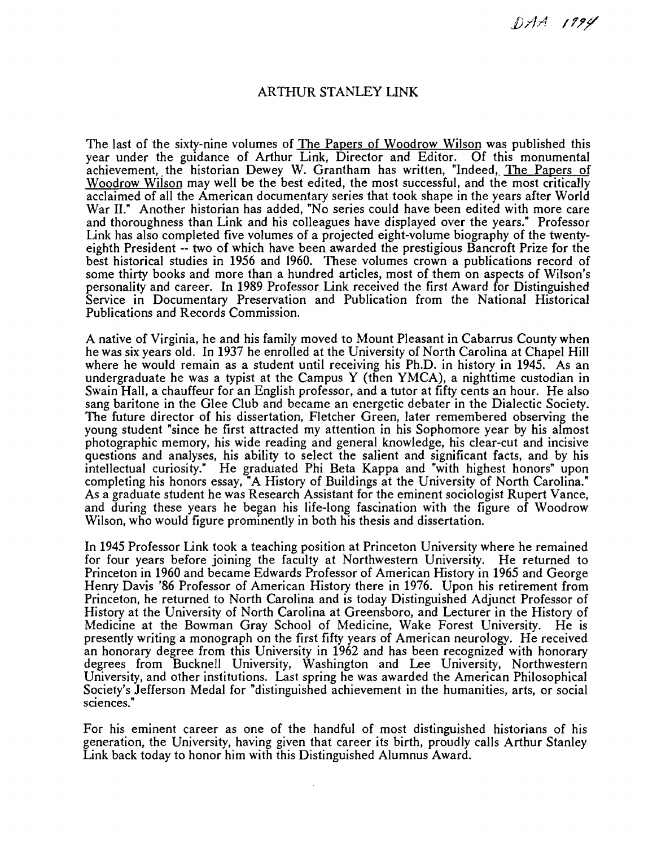## ARTHUR STANLEY LINK

The last of the sixty-nine volumes of The Papers of Woodrow Wilson was published this year under the guidance of Arthur Link, Director and Editor. Of this monumental achievement, the historian Dewey W. Grantham has written, "Indeed, The Papers of Woodrow Wilson may well be the best edited, the most successful, and the most critically acclaimed of all the American documentary series that took shape in the years after World War II." Another historian has added, "No series could have been edited with more care and thoroughness than Link and his colleagues have displayed over the years." Professor Link has also completed five volumes of a projected eight-volume biography of the twentyeighth President -- two of which have been awarded the prestigious Bancroft Prize for the best historical studies in 1956 and 1960. These volumes crown a publications record of some thirty books and more than a hundred articles, most of them on aspects of Wilson's personality and career. In 1989 Professor Link received the first Award for Distinguished Service in Documentary Preservation and Publication from the National Historical Publications and Records Commission.

A native of Virginia, he and his family moved to Mount Pleasant in Cabarrus County when he was six years old. In 1937 he enrolled at the University of North Carolina at Chapel Hill where he would remain as a student until receiving his Ph.D. in history in 1945. As an undergraduate he was a typist at the Campus Y (then YMCA), a nighttime custodian in Swain Hall, a chauffeur for an English professor, and a tutor at fifty cents an hour. He also sang baritone in the Glee Club and became an energetic debater in the Dialectic Society. The future director of his dissertation, Fletcher Green, later remembered observing the young student "since he first attracted my attention in his Sophomore year by his almost photographic memory, his wide reading and general knowledge, his clear-cut and incisive questions and analyses, his ability to select the salient and significant facts, and by his intellectual curiosity." He graduated Phi Beta Kappa and "with highest honors" upon completing his honors essay, "A History of Buildings at the University of North Carolina." As a graduate student he was Research Assistant for the eminent sociologist Rupert Vance, and during these years he began his life-long fascination with the figure of Woodrow Wilson, who would figure prominently in both his thesis and dissertation.

In 1945 Professor Link took a teaching position at Princeton University where he remained for four years before joining the faculty at Northwestern University. He returned to Princeton in 1960 and became Edwards Professor of American History in 1965 and George Henry Davis '86 Professor of American History there in 1976. Upon his retirement from Princeton, he returned to North Carolina and is today Distinguished Adjunct Professor of History at the University of North Carolina at Greensboro, and Lecturer in the History of Medicine at the Bowman Gray School of Medicine, Wake Forest University. He is presently writing a monograph on the first fifty years of American neurology. He received an honorary degree from this University in 1962 and has been recognized with honorary degrees from Bucknell University, Washington and Lee University, Northwestern University, and other institutions. Last spring he was awarded the American Philosophical Society's Jefferson Medal for "distinguished achievement in the humanities, arts, or social sciences."

For his eminent career as one of the handful of most distinguished historians of his generation, the University, having given that career its birth, proudly calls Arthur Stanley Link back today to honor him with this Distinguished Alumnus Award.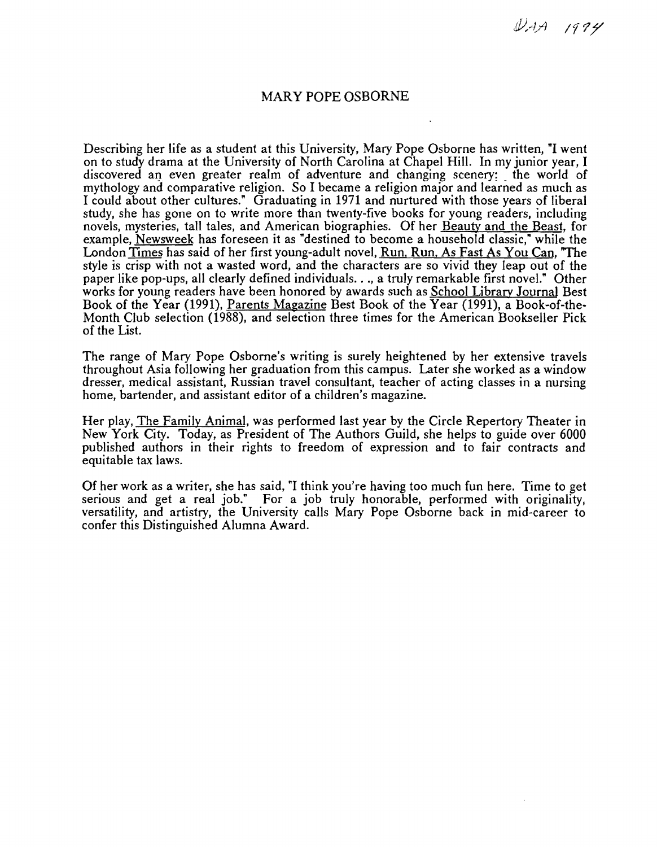$\n *QAA*\n *1994*\n$ 

### MARY POPE OSBORNE

Describing her life as a student at this University, Mary Pope Osborne has written, **"I** went on to study drama at the University of North Carolina at Chapel Hill. In my junior year, I discovered an even greater realm of adventure and changing scenery; the world of mythology and comparative religion. So I became a religion major and learned as much as I could about other cultures." Graduating in 1971 and nurtured with those years of liberal study, she has gone on to write more than twenty-five books for young readers, including novels, mysteries, tall tales, and American biographies. Of her Beauty and the Beast, for example, Newsweek has foreseen it as "destined to become a household classic," while the London Times has said of her first young-adult novel, Run, Run, As Fast As You Can, "The style is crisp with not a wasted word, and the characters are so vivid they leap out of the paper like pop-ups, all clearly defined individuals. . ., a truly remarkable first novel." Other works for young readers have been honored by awards such as School Library Journal Best Book of the Year (1991), Parents Magazine Best Book of the Year (1991), a Book-of-the-Month Club selection (1988), and selection three times for the American Bookseller Pick of the List.

The range of Mary Pope Osborne's writing is surely heightened by her extensive travels throughout Asia following her graduation from this campus. Later she worked as a window dresser, medical assistant, Russian travel consultant, teacher of acting classes in a nursing home, bartender, and assistant editor of a children's magazine.

Her play, The Family Animal, was performed last year by the Circle Repertory Theater in New York City. Today, as President of The Authors Guild, she helps to guide over 6000 published authors in their rights to freedom of expression and to fair contracts and equitable tax laws.

Of her work as a writer, she has said, "I think you're having too much fun here. Time to get serious and get a real job." For a job truly honorable, performed with originality, versatility, and artistry, the University calls Mary Pope Osborne back in mid-career to confer this Distinguished Alumna Award.